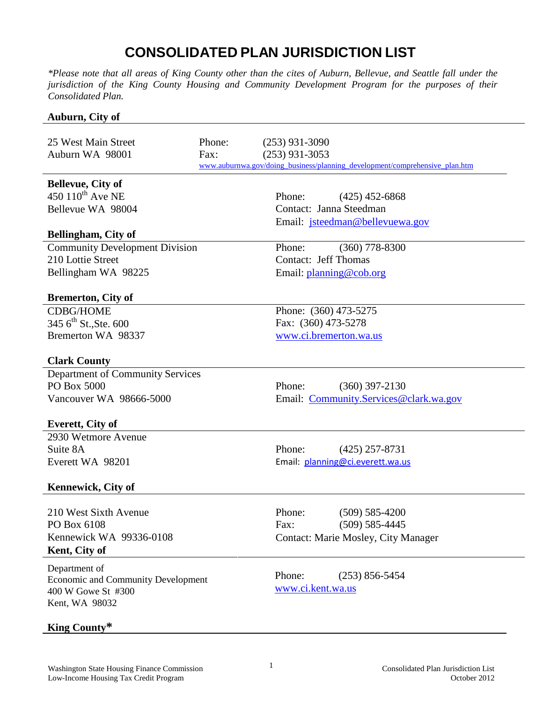## **CONSOLIDATED PLAN JURISDICTION LIST**

*\*Please note that all areas of King County other than the cites of Auburn, Bellevue, and Seattle fall under the jurisdiction of the King County Housing and Community Development Program for the purposes of their Consolidated Plan.*

## **Auburn, City of**

| 25 West Main Street<br>Auburn WA 98001                                                                             | Phone:<br>Fax: | $(253)$ 931-3090<br>$(253)$ 931-3053<br>www.auburnwa.gov/doing_business/planning_development/comprehensive_plan.htm |  |  |
|--------------------------------------------------------------------------------------------------------------------|----------------|---------------------------------------------------------------------------------------------------------------------|--|--|
| <b>Bellevue, City of</b><br>450 $110^{th}$ Ave NE<br>Bellevue WA 98004                                             |                | Phone:<br>$(425)$ 452-6868<br>Contact: Janna Steedman<br>Email: jsteedman@bellevuewa.gov                            |  |  |
| <b>Bellingham, City of</b>                                                                                         |                |                                                                                                                     |  |  |
| <b>Community Development Division</b><br>210 Lottie Street<br>Bellingham WA 98225                                  |                | $(360)$ 778-8300<br>Phone:<br><b>Contact: Jeff Thomas</b><br>Email: planning@cob.org                                |  |  |
| <b>Bremerton, City of</b>                                                                                          |                |                                                                                                                     |  |  |
| <b>CDBG/HOME</b><br>345 6 <sup>th</sup> St., Ste. 600<br>Bremerton WA 98337                                        |                | Phone: (360) 473-5275<br>Fax: (360) 473-5278<br>www.ci.bremerton.wa.us                                              |  |  |
| <b>Clark County</b>                                                                                                |                |                                                                                                                     |  |  |
| Department of Community Services<br>PO Box 5000<br>Vancouver WA 98666-5000                                         |                | Phone:<br>$(360)$ 397-2130<br>Email: Community.Services@clark.wa.gov                                                |  |  |
| <b>Everett, City of</b>                                                                                            |                |                                                                                                                     |  |  |
| 2930 Wetmore Avenue<br>Suite 8A<br>Everett WA 98201                                                                |                | Phone:<br>$(425)$ 257-8731<br>Email: planning@ci.everett.wa.us                                                      |  |  |
| <b>Kennewick, City of</b>                                                                                          |                |                                                                                                                     |  |  |
| 210 West Sixth Avenue<br>PO Box 6108<br>Kennewick WA 99336-0108<br>Kent, City of                                   |                | Phone:<br>$(509) 585 - 4200$<br>$(509) 585 - 4445$<br>Fax:<br><b>Contact: Marie Mosley, City Manager</b>            |  |  |
| Department of<br><b>Economic and Community Development</b><br>400 W Gowe St #300<br>Kent, WA 98032<br>King County* |                | Phone:<br>$(253)$ 856-5454<br>www.ci.kent.wa.us                                                                     |  |  |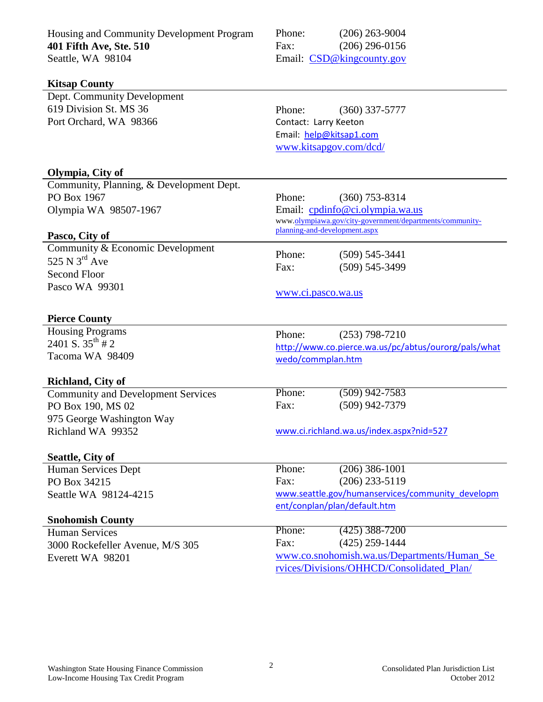| Housing and Community Development Program | Phone:                                                                                      | $(206)$ 263-9004                                     |  |
|-------------------------------------------|---------------------------------------------------------------------------------------------|------------------------------------------------------|--|
| 401 Fifth Ave, Ste. 510                   | Fax:                                                                                        | $(206)$ 296-0156                                     |  |
| Seattle, WA 98104                         |                                                                                             | Email: CSD@kingcounty.gov                            |  |
|                                           |                                                                                             |                                                      |  |
| <b>Kitsap County</b>                      |                                                                                             |                                                      |  |
| Dept. Community Development               |                                                                                             |                                                      |  |
| 619 Division St. MS 36                    | Phone:                                                                                      | $(360)$ 337-5777                                     |  |
| Port Orchard, WA 98366                    | Contact: Larry Keeton                                                                       |                                                      |  |
|                                           | Email: help@kitsap1.com                                                                     |                                                      |  |
|                                           | www.kitsapgov.com/dcd/                                                                      |                                                      |  |
|                                           |                                                                                             |                                                      |  |
| Olympia, City of                          |                                                                                             |                                                      |  |
| Community, Planning, & Development Dept.  |                                                                                             |                                                      |  |
| PO Box 1967                               | Phone:                                                                                      | $(360)$ 753-8314                                     |  |
| Olympia WA 98507-1967                     | Email: cpdinfo@ci.olympia.wa.us<br>www.olympiawa.gov/city-government/departments/community- |                                                      |  |
|                                           | planning-and-development.aspx                                                               |                                                      |  |
| Pasco, City of                            |                                                                                             |                                                      |  |
| Community & Economic Development          | Phone:                                                                                      | $(509)$ 545-3441                                     |  |
| 525 N $3^{\text{rd}}$ Ave                 | Fax:                                                                                        | $(509)$ 545-3499                                     |  |
| <b>Second Floor</b>                       |                                                                                             |                                                      |  |
| Pasco WA 99301                            | www.ci.pasco.wa.us                                                                          |                                                      |  |
|                                           |                                                                                             |                                                      |  |
| <b>Pierce County</b>                      |                                                                                             |                                                      |  |
| <b>Housing Programs</b>                   | Phone:                                                                                      | $(253)$ 798-7210                                     |  |
| 2401 S. $35^{th}$ # 2                     |                                                                                             | http://www.co.pierce.wa.us/pc/abtus/ourorg/pals/what |  |
| Tacoma WA 98409                           | wedo/commplan.htm                                                                           |                                                      |  |
|                                           |                                                                                             |                                                      |  |
| <b>Richland, City of</b>                  |                                                                                             |                                                      |  |
| <b>Community and Development Services</b> | Phone:                                                                                      | $(509)$ 942-7583                                     |  |
| PO Box 190, MS 02                         | Fax:                                                                                        | $(509)$ 942-7379                                     |  |
| 975 George Washington Way                 |                                                                                             |                                                      |  |
| Richland WA 99352                         | www.ci.richland.wa.us/index.aspx?nid=527                                                    |                                                      |  |
| <b>Seattle, City of</b>                   |                                                                                             |                                                      |  |
| Human Services Dept                       | Phone:                                                                                      | $(206)$ 386-1001                                     |  |
| PO Box 34215                              | Fax:                                                                                        | $(206)$ 233-5119                                     |  |
| Seattle WA 98124-4215                     |                                                                                             | www.seattle.gov/humanservices/community developm     |  |
|                                           | ent/conplan/plan/default.htm                                                                |                                                      |  |
| <b>Snohomish County</b>                   |                                                                                             |                                                      |  |
| <b>Human Services</b>                     | Phone:                                                                                      | $(425)$ 388-7200                                     |  |
| 3000 Rockefeller Avenue, M/S 305          | Fax:                                                                                        | $(425)$ 259-1444                                     |  |
| Everett WA 98201                          |                                                                                             | www.co.snohomish.wa.us/Departments/Human_Se          |  |
|                                           | rvices/Divisions/OHHCD/Consolidated_Plan/                                                   |                                                      |  |